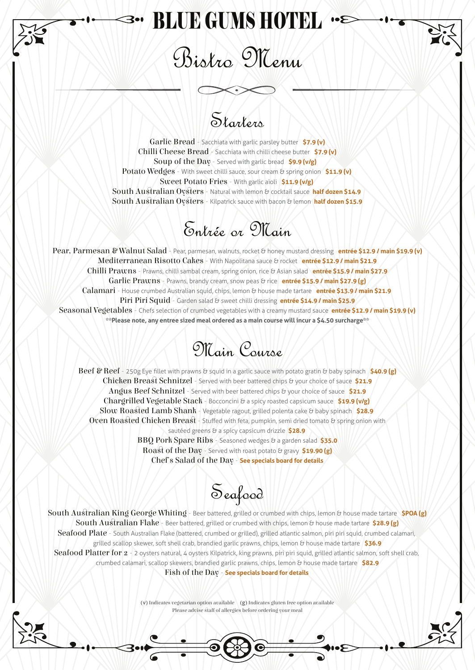## BLUE GUMS HOTEL

Bistro Menu

#### Starters

Garlic Bread - Sacchiata with garlic parsley butter **\$7.9 (v)** Chilli Cheese Bread - Sacchiata with chilli cheese butter **\$7.9 (v)** Soup of the Day - Served with garlic bread **\$9.9 (v/g)** Potato Wedges - With sweet chilli sauce, sour cream & spring onion \$11.9 (v) Sweet Potato Fries - With garlic aioli **\$11.9 (v/g)** South Australian Oysters - Natural with lemon & cocktail sauce half dozen \$14.9 South Australian Oysters - Kilpatrick sauce with bacon & lemon half dozen \$15.9

#### Entrée or Main

Pear, Parmesan & Walnut Salad - Pear, parmesan, walnuts, rocket & honey mustard dressing entrée \$12.9 / main \$19.9 (v) Mediterranean Risotto Cakes - With Napolitana sauce & rocket **entrée \$12.9 / main \$21.9** Chilli Prawns - Prawns, chilli sambal cream, spring onion, rice & Asian salad **entrée \$15.9 / main \$27.9** Garlic Prawns - Prawns, brandy cream, snow peas & rice **entrée \$15.9 / main \$27.9 (g)** Calamari - House crumbed Australian squid, chips, lemon & house made tartare **entrée \$13.9 / main \$21.9** Piri Piri Squid - Garden salad & sweet chilli dressing **entrée \$14.9 / main \$25.9** Seasonal Vegetables - Chefs selection of crumbed vegetables with a creamy mustard sauce **entrée \$12.9 / main \$19.9 (v) \*\*Please note, any entree sized meal ordered as a main course will incur a \$4.50 surcharge\*\***



Beef & Reef - 250g Eye fillet with prawns & squid in a garlic sauce with potato gratin & baby spinach \$40.9 (g) Chicken Breast Schnitzel - Served with beer battered chips & your choice of sauce \$21.9 Angus Beef Schnitzel - Served with beer battered chips & your choice of sauce \$21.9 Chargrilled Vegetable Stack - Bocconcini & a spicy roasted capsicum sauce **\$19.9 (v/g)** Slow Roaed Lamb Shank - Vegetable ragout, grilled polenta cake & baby spinach **\$28.9** Oven Roasted Chicken Breast - Stuffed with feta, pumpkin, semi dried tomato & spring onion with sautéed greens & a spicy capsicum drizzle \$28.9 BBQ Pork Spare Ribs - Seasoned wedges & a garden salad **\$35.0**

Roast of the Day - Served with roast potato & gravy \$19.90 (g) Chef's Salad of the Day - **See specials board for details**

Seafood

South Australian King George Whiting - Beer battered, grilled or crumbed with chips, lemon & house made tartare \$POA (g) South Australian Flake - Beer battered, grilled or crumbed with chips, lemon & house made tartare \$28.9 (g) Seafood Plate - South Australian Flake (battered, crumbed or grilled), grilled atlantic salmon, piri piri squid, crumbed calamari, grilled scallop skewer, soft shell crab, brandied garlic prawns, chips, lemon & house made tartare **\$36.9** Seafood Platter for 2 - 2 oysters natural, 4 oysters Kilpatrick, king prawns, piri piri squid, grilled atlantic salmon, soft shell crab, crumbed calamari, scallop skewers, brandied garlic prawns, chips, lemon & house made tartare **\$82.9** Fish of the Day - **See specials board for details**

(v) Indicates vegetarian option available (g) Indicates gluten free option available Please advise staff of allergies before ordering your meal